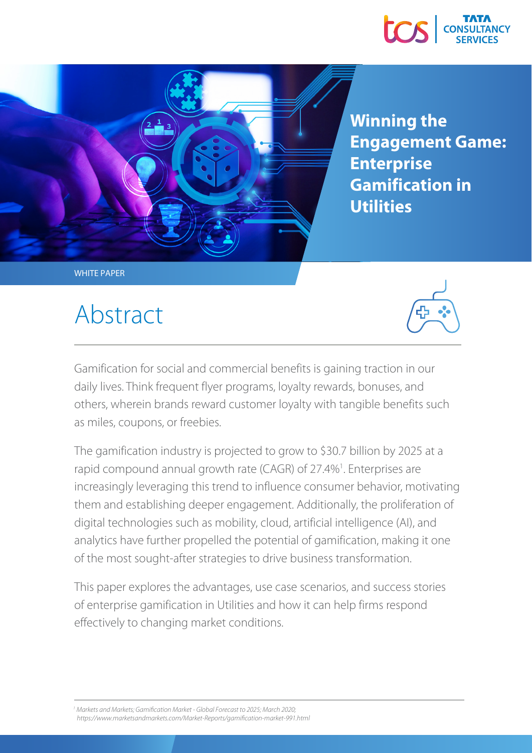



**Winning the Engagement Game: Enterprise Gamification in Utilities**

WHITE PAPER

## Abstract



Gamification for social and commercial benefits is gaining traction in our daily lives. Think frequent flyer programs, loyalty rewards, bonuses, and others, wherein brands reward customer loyalty with tangible benefits such as miles, coupons, or freebies.

The gamification industry is projected to grow to \$30.7 billion by 2025 at a rapid compound annual growth rate (CAGR) of 27.4%<sup>1</sup>. Enterprises are increasingly leveraging this trend to influence consumer behavior, motivating them and establishing deeper engagement. Additionally, the proliferation of digital technologies such as mobility, cloud, artificial intelligence (AI), and analytics have further propelled the potential of gamification, making it one of the most sought-after strategies to drive business transformation.

This paper explores the advantages, use case scenarios, and success stories of enterprise gamification in Utilities and how it can help firms respond effectively to changing market conditions.

<sup>1</sup> Markets and Markets; Gamification Market - Global Forecast to 2025; March 2020; *https://www.marketsandmarkets.com/Market-Reports/gamification-market-991.html*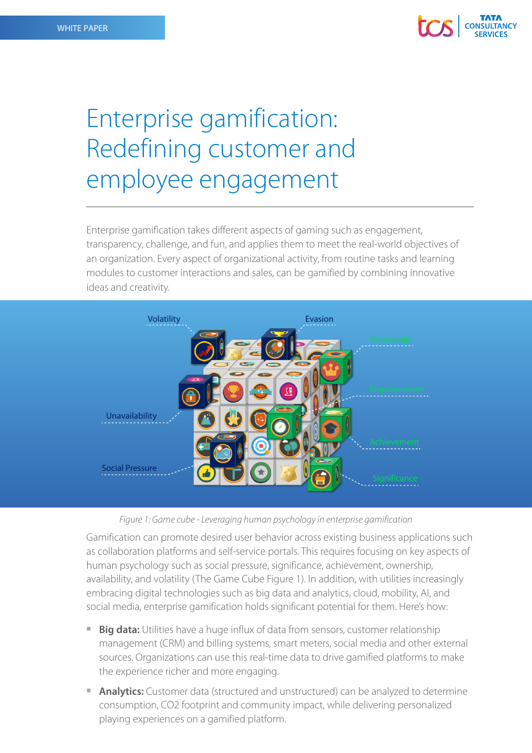

### Enterprise gamification: Redefining customer and employee engagement

Enterprise gamification takes different aspects of gaming such as engagement, transparency, challenge, and fun, and applies them to meet the real-world objectives of an organization. Every aspect of organizational activity, from routine tasks and learning modules to customer interactions and sales, can be gamified by combining innovative ideas and creativity.



*Figure 1: Game cube - Leveraging human psychology in enterprise gamification*

Gamification can promote desired user behavior across existing business applications such as collaboration platforms and self-service portals. This requires focusing on key aspects of human psychology such as social pressure, significance, achievement, ownership, availability, and volatility (The Game Cube Figure 1). In addition, with utilities increasingly embracing digital technologies such as big data and analytics, cloud, mobility, AI, and social media, enterprise gamification holds significant potential for them. Here's how:

- **Big data:** Utilities have a huge influx of data from sensors, customer relationship management (CRM) and billing systems, smart meters, social media and other external sources. Organizations can use this real-time data to drive gamified platforms to make the experience richer and more engaging.
- **Analytics:** Customer data (structured and unstructured) can be analyzed to determine consumption, CO2 footprint and community impact, while delivering personalized playing experiences on a gamified platform.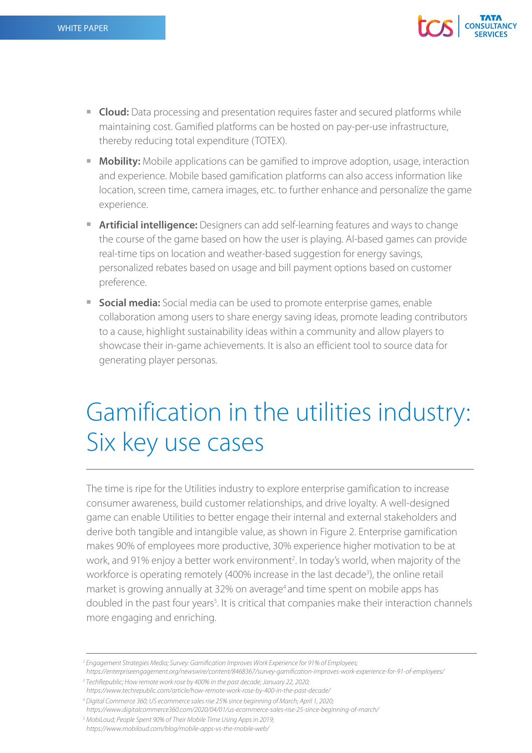

- **Cloud:** Data processing and presentation requires faster and secured platforms while maintaining cost. Gamified platforms can be hosted on pay-per-use infrastructure, thereby reducing total expenditure (TOTEX).
- **Mobility:** Mobile applications can be gamified to improve adoption, usage, interaction and experience. Mobile based gamification platforms can also access information like location, screen time, camera images, etc. to further enhance and personalize the game experience.
- **Artificial intelligence:** Designers can add self-learning features and ways to change the course of the game based on how the user is playing. AI-based games can provide real-time tips on location and weather-based suggestion for energy savings, personalized rebates based on usage and bill payment options based on customer preference.
- **Social media:** Social media can be used to promote enterprise games, enable collaboration among users to share energy saving ideas, promote leading contributors to a cause, highlight sustainability ideas within a community and allow players to showcase their in-game achievements. It is also an efficient tool to source data for generating player personas.

#### Gamification in the utilities industry: Six key use cases

The time is ripe for the Utilities industry to explore enterprise gamification to increase consumer awareness, build customer relationships, and drive loyalty. A well-designed game can enable Utilities to better engage their internal and external stakeholders and derive both tangible and intangible value, as shown in Figure 2. Enterprise gamification makes 90% of employees more productive, 30% experience higher motivation to be at work, and 91% enjoy a better work environment<sup>2</sup>. In today's world, when majority of the workforce is operating remotely (400% increase in the last decade<sup>3</sup>), the online retail market is growing annually at 32% on average<sup>4</sup> and time spent on mobile apps has doubled in the past four years<sup>5</sup>. It is critical that companies make their interaction channels more engaging and enriching.

<sup>3</sup> TechRepublic; How remote work rose by 400% in the past decade; January 22, 2020;

*5 MobiLoud; People Spent 90% of Their Mobile Time Using Apps in 2019; https://www.mobiloud.com/blog/mobile-apps-vs-the-mobile-web/*

*<sup>2</sup> Engagement Strategies Media; Survey: Gamification Improves Work Experience for 91% of Employees;* 

*https://enterpriseengagement.org/newswire/content/8468367/survey-gamification-improves-work-experience-for-91-of-employees/*

*https://www.techrepublic.com/article/how-remote-work-rose-by-400-in-the-past-decade/*

*<sup>4</sup> Digital Commerce 360; US ecommerce sales rise 25% since beginning of March; April 1, 2020;* 

*https://www.digitalcommerce360.com/2020/04/01/us-ecommerce-sales-rise-25-since-beginning-of-march/*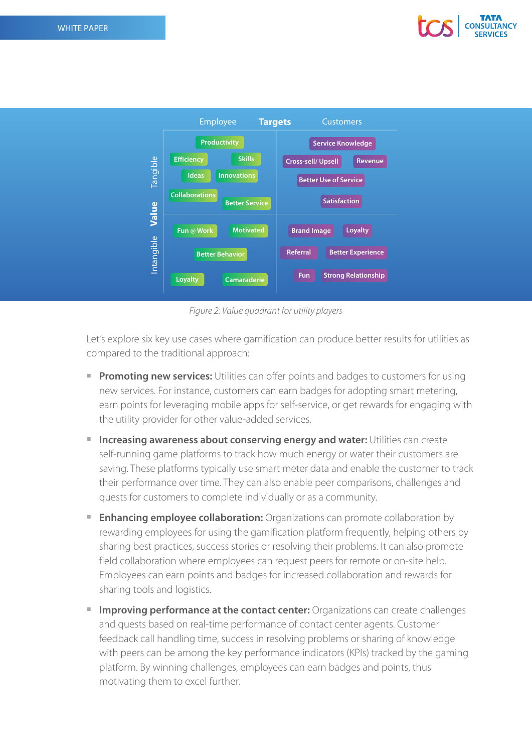



*Figure 2: Value quadrant for utility players*

Let's explore six key use cases where gamification can produce better results for utilities as compared to the traditional approach:

- **Promoting new services:** Utilities can offer points and badges to customers for using new services. For instance, customers can earn badges for adopting smart metering, earn points for leveraging mobile apps for self-service, or get rewards for engaging with the utility provider for other value-added services.
- **Increasing awareness about conserving energy and water: Utilities can create** self-running game platforms to track how much energy or water their customers are saving. These platforms typically use smart meter data and enable the customer to track their performance over time. They can also enable peer comparisons, challenges and quests for customers to complete individually or as a community.
- **Enhancing employee collaboration:** Organizations can promote collaboration by rewarding employees for using the gamification platform frequently, helping others by sharing best practices, success stories or resolving their problems. It can also promote field collaboration where employees can request peers for remote or on-site help. Employees can earn points and badges for increased collaboration and rewards for sharing tools and logistics.
- **Improving performance at the contact center:** Organizations can create challenges and quests based on real-time performance of contact center agents. Customer feedback call handling time, success in resolving problems or sharing of knowledge with peers can be among the key performance indicators (KPIs) tracked by the gaming platform. By winning challenges, employees can earn badges and points, thus motivating them to excel further.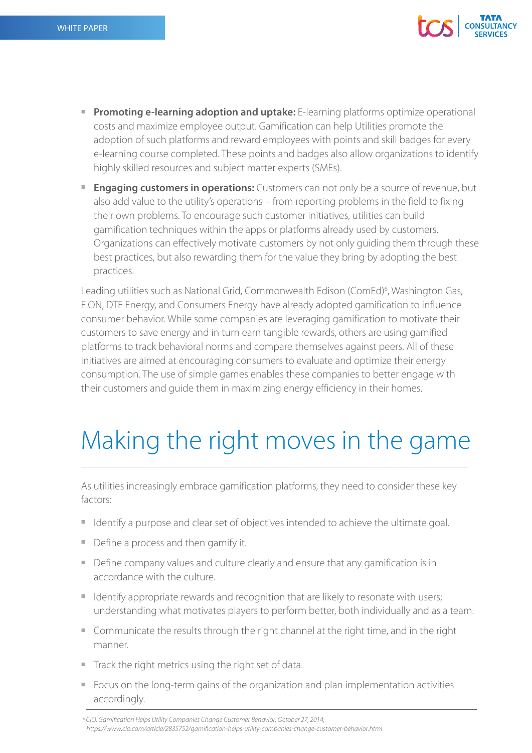

- **Promoting e-learning adoption and uptake:** E-learning platforms optimize operational costs and maximize employee output. Gamification can help Utilities promote the adoption of such platforms and reward employees with points and skill badges for every e-learning course completed. These points and badges also allow organizations to identify highly skilled resources and subject matter experts (SMEs).
- **Engaging customers in operations:** Customers can not only be a source of revenue, but also add value to the utility's operations – from reporting problems in the field to fixing their own problems. To encourage such customer initiatives, utilities can build gamification techniques within the apps or platforms already used by customers. Organizations can effectively motivate customers by not only guiding them through these best practices, but also rewarding them for the value they bring by adopting the best practices.

Leading utilities such as National Grid, Commonwealth Edison (ComEd)<sup>6</sup>, Washington Gas, E.ON, DTE Energy, and Consumers Energy have already adopted gamification to influence consumer behavior. While some companies are leveraging gamification to motivate their customers to save energy and in turn earn tangible rewards, others are using gamified platforms to track behavioral norms and compare themselves against peers. All of these initiatives are aimed at encouraging consumers to evaluate and optimize their energy consumption. The use of simple games enables these companies to better engage with their customers and guide them in maximizing energy efficiency in their homes.

# Making the right moves in the game

As utilities increasingly embrace gamification platforms, they need to consider these key factors:

- I Identify a purpose and clear set of objectives intended to achieve the ultimate goal.
- Define a process and then gamify it.
- Define company values and culture clearly and ensure that any gamification is in accordance with the culture.
- I dentify appropriate rewards and recognition that are likely to resonate with users; understanding what motivates players to perform better, both individually and as a team.
- Communicate the results through the right channel at the right time, and in the right manner.
- Track the right metrics using the right set of data.
- Focus on the long-term gains of the organization and plan implementation activities accordingly.

<sup>&</sup>lt;sup>6</sup> CIO; Gamification Helps Utility Companies Change Customer Behavior; October 27, 2014; *https://www.cio.com/article/2835752/gamification-helps-utility-companies-change-customer-behavior.html*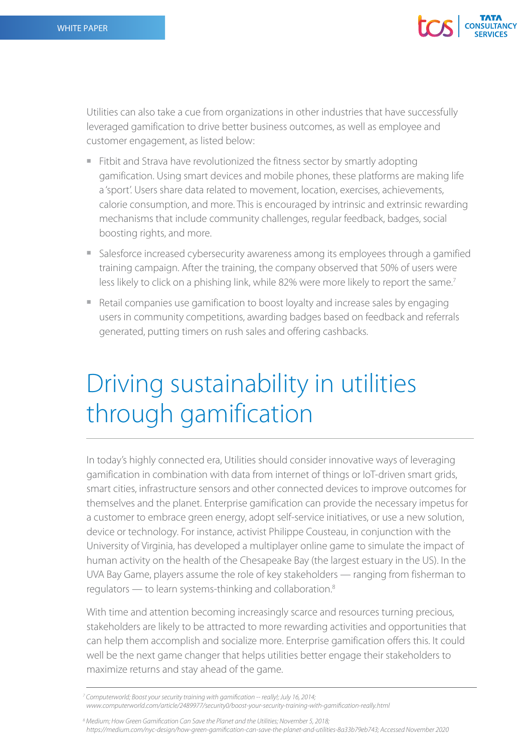

Utilities can also take a cue from organizations in other industries that have successfully leveraged gamification to drive better business outcomes, as well as employee and customer engagement, as listed below:

- Fitbit and Strava have revolutionized the fitness sector by smartly adopting gamification. Using smart devices and mobile phones, these platforms are making life a 'sport'. Users share data related to movement, location, exercises, achievements, calorie consumption, and more. This is encouraged by intrinsic and extrinsic rewarding mechanisms that include community challenges, regular feedback, badges, social boosting rights, and more.
- Salesforce increased cybersecurity awareness among its employees through a gamified training campaign. After the training, the company observed that 50% of users were less likely to click on a phishing link, while 82% were more likely to report the same.<sup>7</sup>
- Retail companies use gamification to boost loyalty and increase sales by engaging users in community competitions, awarding badges based on feedback and referrals generated, putting timers on rush sales and offering cashbacks.

### Driving sustainability in utilities through gamification

In today's highly connected era, Utilities should consider innovative ways of leveraging gamification in combination with data from internet of things or IoT-driven smart grids, smart cities, infrastructure sensors and other connected devices to improve outcomes for themselves and the planet. Enterprise gamification can provide the necessary impetus for a customer to embrace green energy, adopt self-service initiatives, or use a new solution, device or technology. For instance, activist Philippe Cousteau, in conjunction with the University of Virginia, has developed a multiplayer online game to simulate the impact of human activity on the health of the Chesapeake Bay (the largest estuary in the US). In the UVA Bay Game, players assume the role of key stakeholders — ranging from fisherman to regulators — to learn systems-thinking and collaboration.8

With time and attention becoming increasingly scarce and resources turning precious, stakeholders are likely to be attracted to more rewarding activities and opportunities that can help them accomplish and socialize more. Enterprise gamification offers this. It could well be the next game changer that helps utilities better engage their stakeholders to maximize returns and stay ahead of the game.

<sup>8</sup> Medium; How Green Gamification Can Save the Planet and the Utilities; November 5, 2018; *https://medium.com/nyc-design/how-green-gamification-can-save-the-planet-and-utilities-8a33b79eb743; Accessed November 2020*

*<sup>7</sup> Computerworld; Boost your security training with gamification -- really!; July 16, 2014; www.computerworld.com/article/2489977/security0/boost-your-security-training-with-gamification-really.html*